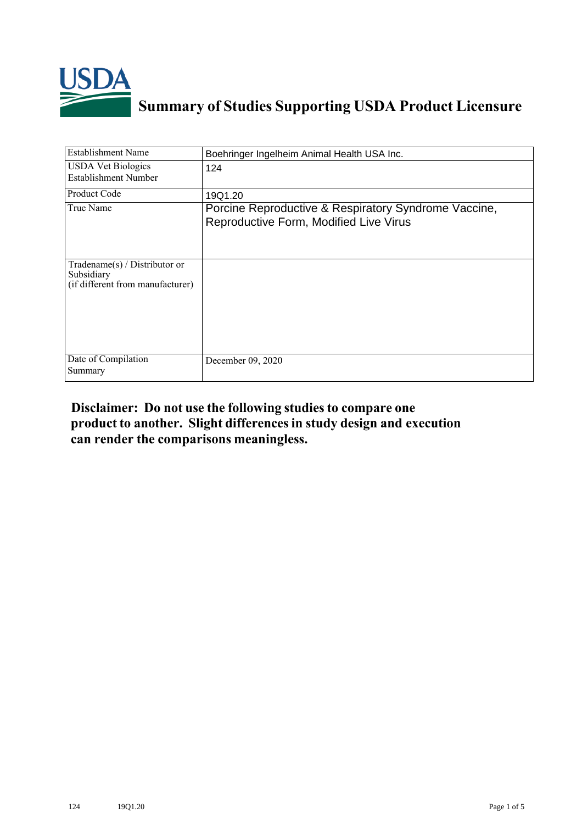

## **Summary of Studies Supporting USDA Product Licensure**

| <b>Establishment Name</b>                                                          | Boehringer Ingelheim Animal Health USA Inc.                                                    |
|------------------------------------------------------------------------------------|------------------------------------------------------------------------------------------------|
| <b>USDA Vet Biologics</b><br>Establishment Number                                  | 124                                                                                            |
| Product Code                                                                       | 19Q1.20                                                                                        |
| True Name                                                                          | Porcine Reproductive & Respiratory Syndrome Vaccine,<br>Reproductive Form, Modified Live Virus |
| Tradename $(s)$ / Distributor or<br>Subsidiary<br>(if different from manufacturer) |                                                                                                |
| Date of Compilation<br>Summary                                                     | December 09, 2020                                                                              |

## **Disclaimer: Do not use the following studiesto compare one product to another. Slight differencesin study design and execution can render the comparisons meaningless.**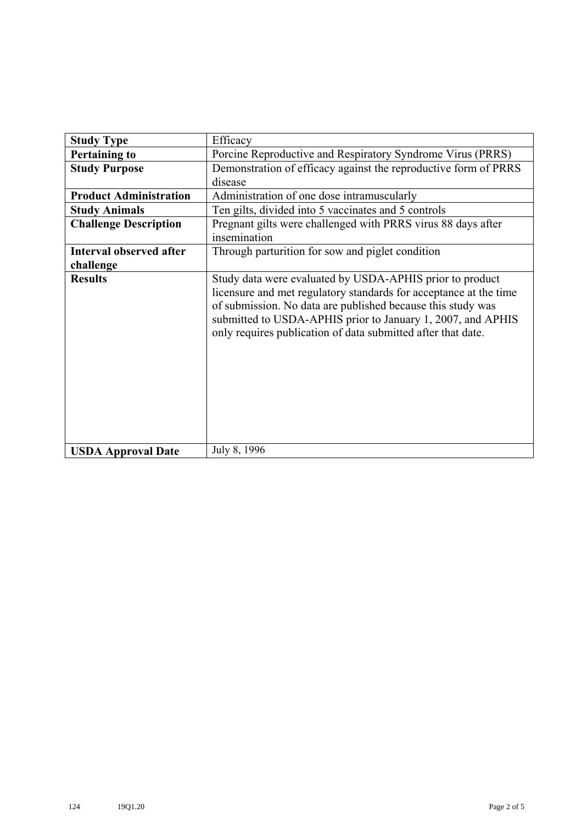| <b>Study Type</b>             | Efficacy                                                                                                                                                                                                                                                                                                                    |
|-------------------------------|-----------------------------------------------------------------------------------------------------------------------------------------------------------------------------------------------------------------------------------------------------------------------------------------------------------------------------|
| <b>Pertaining to</b>          | Porcine Reproductive and Respiratory Syndrome Virus (PRRS)                                                                                                                                                                                                                                                                  |
| <b>Study Purpose</b>          | Demonstration of efficacy against the reproductive form of PRRS                                                                                                                                                                                                                                                             |
|                               | disease                                                                                                                                                                                                                                                                                                                     |
| <b>Product Administration</b> | Administration of one dose intramuscularly                                                                                                                                                                                                                                                                                  |
| <b>Study Animals</b>          | Ten gilts, divided into 5 vaccinates and 5 controls                                                                                                                                                                                                                                                                         |
| <b>Challenge Description</b>  | Pregnant gilts were challenged with PRRS virus 88 days after<br>insemination                                                                                                                                                                                                                                                |
| Interval observed after       | Through parturition for sow and piglet condition                                                                                                                                                                                                                                                                            |
| challenge                     |                                                                                                                                                                                                                                                                                                                             |
| <b>Results</b>                | Study data were evaluated by USDA-APHIS prior to product<br>licensure and met regulatory standards for acceptance at the time<br>of submission. No data are published because this study was<br>submitted to USDA-APHIS prior to January 1, 2007, and APHIS<br>only requires publication of data submitted after that date. |
| <b>USDA Approval Date</b>     | July 8, 1996                                                                                                                                                                                                                                                                                                                |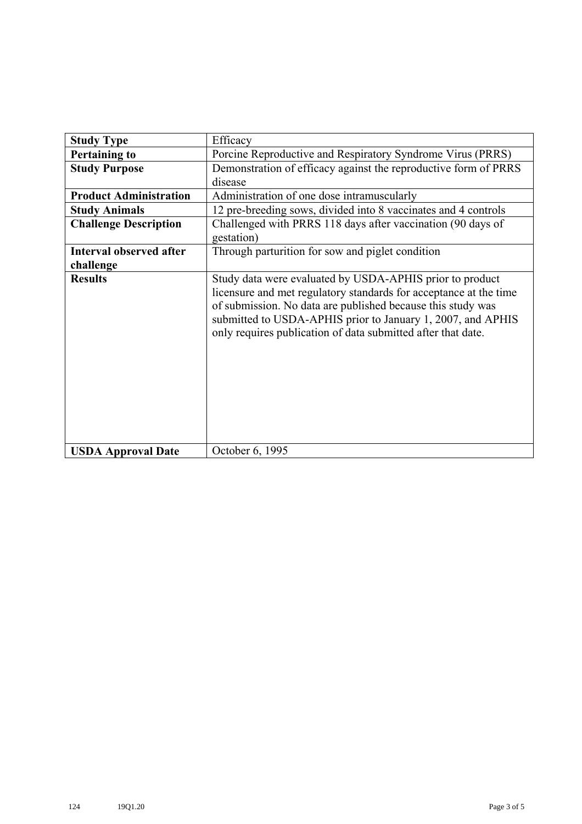| <b>Study Type</b>              | Efficacy                                                                                                                                                                                                                                                                                                                    |
|--------------------------------|-----------------------------------------------------------------------------------------------------------------------------------------------------------------------------------------------------------------------------------------------------------------------------------------------------------------------------|
| <b>Pertaining to</b>           | Porcine Reproductive and Respiratory Syndrome Virus (PRRS)                                                                                                                                                                                                                                                                  |
| <b>Study Purpose</b>           | Demonstration of efficacy against the reproductive form of PRRS                                                                                                                                                                                                                                                             |
|                                | disease                                                                                                                                                                                                                                                                                                                     |
| <b>Product Administration</b>  | Administration of one dose intramuscularly                                                                                                                                                                                                                                                                                  |
| <b>Study Animals</b>           | 12 pre-breeding sows, divided into 8 vaccinates and 4 controls                                                                                                                                                                                                                                                              |
| <b>Challenge Description</b>   | Challenged with PRRS 118 days after vaccination (90 days of<br>gestation)                                                                                                                                                                                                                                                   |
| <b>Interval observed after</b> | Through parturition for sow and piglet condition                                                                                                                                                                                                                                                                            |
| challenge                      |                                                                                                                                                                                                                                                                                                                             |
| <b>Results</b>                 | Study data were evaluated by USDA-APHIS prior to product<br>licensure and met regulatory standards for acceptance at the time<br>of submission. No data are published because this study was<br>submitted to USDA-APHIS prior to January 1, 2007, and APHIS<br>only requires publication of data submitted after that date. |
| <b>USDA Approval Date</b>      | October 6, 1995                                                                                                                                                                                                                                                                                                             |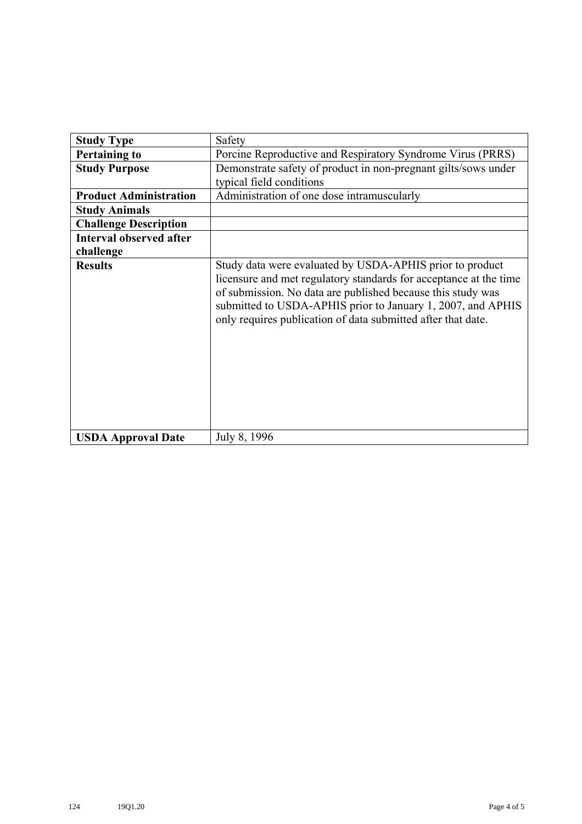| <b>Study Type</b>              | Safety                                                                                                                                                                                                                                                                                                                      |
|--------------------------------|-----------------------------------------------------------------------------------------------------------------------------------------------------------------------------------------------------------------------------------------------------------------------------------------------------------------------------|
| <b>Pertaining to</b>           | Porcine Reproductive and Respiratory Syndrome Virus (PRRS)                                                                                                                                                                                                                                                                  |
| <b>Study Purpose</b>           | Demonstrate safety of product in non-pregnant gilts/sows under                                                                                                                                                                                                                                                              |
|                                | typical field conditions                                                                                                                                                                                                                                                                                                    |
| <b>Product Administration</b>  | Administration of one dose intramuscularly                                                                                                                                                                                                                                                                                  |
| <b>Study Animals</b>           |                                                                                                                                                                                                                                                                                                                             |
| <b>Challenge Description</b>   |                                                                                                                                                                                                                                                                                                                             |
| <b>Interval observed after</b> |                                                                                                                                                                                                                                                                                                                             |
| challenge                      |                                                                                                                                                                                                                                                                                                                             |
| <b>Results</b>                 | Study data were evaluated by USDA-APHIS prior to product<br>licensure and met regulatory standards for acceptance at the time<br>of submission. No data are published because this study was<br>submitted to USDA-APHIS prior to January 1, 2007, and APHIS<br>only requires publication of data submitted after that date. |
| <b>USDA Approval Date</b>      | July 8, 1996                                                                                                                                                                                                                                                                                                                |